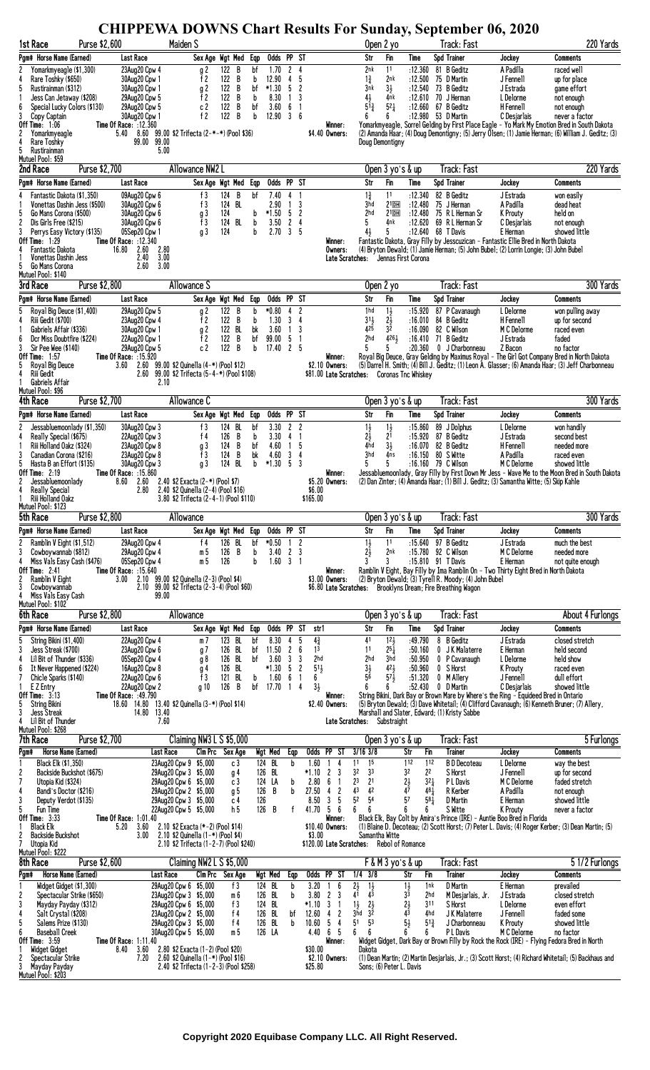**CHIPPEWA DOWNS Chart Results For Sunday, September 06, 2020** 

| 1st Race                                                                | Purse \$2,600                        |                                                                    | Maiden S                                                                                                               |                                       |           |                     |                                                     |                                           |                         | CHITTE WA DO WIND CHAIT KUSUNS FUI DUNUAY, DUPULINDEI VO, 2020<br>Open 2 yo |                                  |                                           | Track: Fast                                                  |                                                                                                                                                                                        | 220 Yards                                                                                               |
|-------------------------------------------------------------------------|--------------------------------------|--------------------------------------------------------------------|------------------------------------------------------------------------------------------------------------------------|---------------------------------------|-----------|---------------------|-----------------------------------------------------|-------------------------------------------|-------------------------|-----------------------------------------------------------------------------|----------------------------------|-------------------------------------------|--------------------------------------------------------------|----------------------------------------------------------------------------------------------------------------------------------------------------------------------------------------|---------------------------------------------------------------------------------------------------------|
| Pam# Horse Name (Earned)                                                |                                      | Last Race                                                          |                                                                                                                        | Sex Age Wgt Med                       | Eqp       | Odds PP ST          |                                                     |                                           |                         | Str                                                                         | Fin                              | Time                                      | Spd Trainer                                                  | Jockey                                                                                                                                                                                 | Comments                                                                                                |
| Yomarkmyeagle (\$1,300)<br>2                                            |                                      | 23Aug20 Cpw 4                                                      | g 2                                                                                                                    | 122<br>B                              | bf        | 1.70                | $\overline{2}$<br>4                                 |                                           |                         | 2nk                                                                         | 11                               | :12.360                                   | 81 B Geditz                                                  | A Padilla                                                                                                                                                                              | raced well                                                                                              |
| 4<br>Rare Toshky (\$650)<br>5<br>Rustirainman (\$312)                   |                                      | 30Aug20 Cpw 1<br>30Aug20 Cpw 1                                     | f 2<br>g 2                                                                                                             | 122<br>B<br>122<br>B                  | b<br>bf   | 12.90<br>$*1.30$    | 4<br>5<br>5<br>$\overline{c}$                       |                                           |                         | $1\frac{3}{4}$<br>3nk                                                       | 2nk<br>$3\frac{1}{2}$            | :12.500<br>:12.540                        | 75 D Martin<br>73 B Geditz                                   | J Fennell<br>J Estrada                                                                                                                                                                 | up for place<br>game effort                                                                             |
| Jess Can Jetaway (\$208)                                                |                                      | 29Aug20 Cpw 5                                                      | f <sub>2</sub>                                                                                                         | 122<br>B                              | b         | 8.30                | 3<br>$\overline{1}$                                 |                                           |                         | 41                                                                          | 4nk                              | :12.610                                   | 70 J Herman                                                  | L Delorme                                                                                                                                                                              | not enough                                                                                              |
| 6<br>Special Lucky Colors (\$130)<br>3<br>Copy Captain                  |                                      | 29Aug20 Cpw 5<br>30Aug20 Cpw 1                                     | c 2<br>f $2$                                                                                                           | $\bar{\mathbf{B}}$<br>122<br>B<br>122 | bf<br>b   | 3.60<br>12.90       | 6<br>$\mathbf{1}$<br>$\overline{3}$<br>6            |                                           |                         | $5^{\bar{1}\frac{3}{4}}$<br>6                                               | $5^{21}$<br>6                    | :12.660<br>:12.980 53 D Martin            | 67 B Geditz                                                  | H Fennell<br>C Desjarlais                                                                                                                                                              | not enough<br>never a factor                                                                            |
| <b>Off Time: 1:06</b>                                                   |                                      | <b>Time Of Race: :12.360</b>                                       |                                                                                                                        |                                       |           |                     |                                                     |                                           | Winner:                 |                                                                             |                                  |                                           |                                                              |                                                                                                                                                                                        | Yomarkmyeagle, Sorrel Gelding by First Place Eagle - Yo Mark My Emotion Bred in South Dakota            |
| 2<br>Yomarkmyeagle<br><b>Rare Toshky</b>                                |                                      | 5.40 8.60 99.00 \$2 Trifecta (2-*-*) (Pool \$36)<br>99.00<br>99.00 |                                                                                                                        |                                       |           |                     |                                                     | \$4.40 Owners:                            |                         | Doug Demontigny                                                             |                                  |                                           |                                                              |                                                                                                                                                                                        | (2) Amanda Haar; (4) Doug Demontigny; (5) Jerry Olsen; (1) Jamie Herman; (6) William J. Geditz; (3)     |
| 5<br>Rustirainman                                                       |                                      |                                                                    | 5.00                                                                                                                   |                                       |           |                     |                                                     |                                           |                         |                                                                             |                                  |                                           |                                                              |                                                                                                                                                                                        |                                                                                                         |
| Mutuel Pool: \$59<br>2nd Race                                           | Purse \$2,700                        |                                                                    | Allowance NW2 L                                                                                                        |                                       |           |                     |                                                     |                                           |                         |                                                                             | Open $3$ yo's $\&$ up            |                                           | Track: Fast                                                  |                                                                                                                                                                                        | 220 Yards                                                                                               |
| Pgm# Horse Name (Earned)                                                |                                      | <b>Last Race</b>                                                   |                                                                                                                        | Sex Age Wgt Med Eqp                   |           | Odds PP ST          |                                                     |                                           |                         | Str                                                                         | Fin                              | Time                                      | Spd Trainer                                                  | Jockey                                                                                                                                                                                 | Comments                                                                                                |
| Fantastic Dakota (\$1,350)                                              |                                      | 09Aug20 Cpw 6                                                      | f3                                                                                                                     | 124<br>B                              | bf        | 7.40                | 4                                                   |                                           |                         | $1\frac{3}{4}$                                                              | 11                               | :12.340                                   | 82 B Geditz                                                  | J Estrada                                                                                                                                                                              | won easily                                                                                              |
| Vonettas Dashin Jess (\$500)                                            |                                      | 30Aug20 Cpw 6                                                      | f3                                                                                                                     | 124 BL                                |           | 2.90                | 3<br>$\mathbf{1}$                                   |                                           |                         | 3hd                                                                         | $21$ DH                          | :12.480                                   | 75 J Herman                                                  | A Padilla                                                                                                                                                                              | dead heat                                                                                               |
| 5<br>Go Mans Corona (\$500)<br>$\overline{c}$<br>Dis Girls Free (\$215) |                                      | 30Aug20 Cpw 6<br>30Aug20 Cpw 6                                     | g 3<br>f3                                                                                                              | 124<br>124 BL                         | b<br>b    | $*1.50$<br>3.50     | 5<br>$\overline{\mathbf{c}}$<br>$\overline{c}$<br>4 |                                           |                         | 2hd<br>5                                                                    | $21$ DH<br>4nk                   | :12.480<br>:12.620                        | 75 R L Herman Sr<br>69 R L Herman Sr                         | K Prouty<br>C Desjarlais                                                                                                                                                               | held on<br>not enough                                                                                   |
| 3<br>Perrys Easy Victory (\$135)                                        |                                      | 05Sep20 Cpw 1                                                      | q 3                                                                                                                    | 124                                   | b         | 2.70                | 3<br>5                                              |                                           |                         | $4\frac{1}{2}$                                                              | 5                                | :12.640 68 T Davis                        |                                                              | E Herman                                                                                                                                                                               | showed little                                                                                           |
| <b>Off Time: 1:29</b><br>4<br><b>Fantastic Dakota</b>                   |                                      | Time Of Race: :12.340<br>2.80<br>16.80<br>2.60                     |                                                                                                                        |                                       |           |                     |                                                     |                                           | Winner :<br>Owners:     |                                                                             |                                  |                                           |                                                              | Fantastic Dakota, Gray Filly by Jesscuzican - Fantastic Ellie Bred in North Dakota<br>(4) Bryton Dewald; (1) Jamie Herman; (5) John Bubel; (2) Lorrin Longie; (3) John Bubel           |                                                                                                         |
| Vonettas Dashin Jess                                                    |                                      | 2.40<br>3.00                                                       |                                                                                                                        |                                       |           |                     |                                                     |                                           | Late Scratches:         |                                                                             |                                  | Jennas First Corona                       |                                                              |                                                                                                                                                                                        |                                                                                                         |
| 5<br>Go Mans Corona<br>Mutuel Pool: \$140                               |                                      | 2.60<br>3.00                                                       |                                                                                                                        |                                       |           |                     |                                                     |                                           |                         |                                                                             |                                  |                                           |                                                              |                                                                                                                                                                                        |                                                                                                         |
| 3rd Race                                                                | Purse \$2,800                        |                                                                    | Allowance S                                                                                                            |                                       |           |                     |                                                     |                                           |                         | Open 2 yo                                                                   |                                  |                                           | Track: Fast                                                  |                                                                                                                                                                                        | 300 Yards                                                                                               |
| Pam# Horse Name (Earned)                                                |                                      | Last Race                                                          |                                                                                                                        | Sex Age Wgt Med                       | Eqp       | Odds PP ST          |                                                     |                                           |                         | Str                                                                         | Fin                              | Time                                      | Spd Trainer                                                  | Jockey                                                                                                                                                                                 | Comments                                                                                                |
| Royal Big Deuce (\$1,400)                                               |                                      | 29Aug20 Cpw 5                                                      | g 2                                                                                                                    | 122 B                                 | b         | $*0.80$             | $\overline{c}$<br>4                                 |                                           |                         | 1hd                                                                         | $1\frac{1}{2}$                   | :15.920                                   | 87 P Cavanaugh                                               | L Delorme                                                                                                                                                                              | won pulling away                                                                                        |
| 4<br><b>Riii Gedit (\$700)</b><br>Gabriels Affair (\$336)               |                                      | 23Aug20 Cpw 4<br>30Aug20 Cpw 1                                     | f 2<br>g 2                                                                                                             | 122 B<br>122 BL                       | b<br>bk   | 1.30<br>3.60        | 3<br>4<br>3<br>$\mathbf{1}$                         |                                           |                         | $31\frac{1}{2}$<br>425                                                      | $2\frac{1}{2}$<br>32             | :16.010<br>:16.090                        | 84 B Geditz<br>82 C Wilson                                   | H Fennell<br>M C Delorme                                                                                                                                                               | up for second<br>raced even                                                                             |
| 6<br>Dcr Miss Doubtfire (\$224)                                         |                                      | 22Aug20 Cpw 1                                                      | f 2                                                                                                                    | B<br>122                              | bf        | 99.00               | 5<br>$\mathbf{1}$                                   |                                           |                         | 2hd                                                                         | 4261                             | $:16.410$ 71 B Geditz                     |                                                              | J Estrada                                                                                                                                                                              | faded                                                                                                   |
| 3<br>Sir Pee Wee (\$140)<br><b>Off Time: 1:57</b>                       |                                      | 29Aug20 Cpw 5<br>Time Of Race: : 15.920                            | c <sub>2</sub>                                                                                                         | B<br>122                              | b         | 17.40               | $\mathbf{2}$<br>-5                                  |                                           | Winner :                |                                                                             |                                  | :20.360                                   | 0 J Charbonneau                                              | Z Bacon                                                                                                                                                                                | no factor<br>Royal Big Deuce, Gray Gelding by Maximus Royal - The Girl Got Company Bred in North Dakota |
| Royal Big Deuce<br>5                                                    |                                      | 2.60<br>3.60                                                       | 99.00 \$2 Quinella (4-*) (Pool \$12)                                                                                   |                                       |           |                     |                                                     | \$2.10 Owners:                            |                         |                                                                             |                                  |                                           |                                                              |                                                                                                                                                                                        | (5) Darrel H. Smith; (4) Bill J. Geditz; (1) Leon A. Glasser; (6) Amanda Haar; (3) Jeff Charbonneau     |
| Riii Gedit<br>Gabriels Affair                                           |                                      | 2.60                                                               | 99.00 \$2 Trifecta (5-4-*) (Pool \$108)<br>2.10                                                                        |                                       |           |                     |                                                     |                                           |                         | \$81.00 Late Scratches: Coronas Tnc Whiskey                                 |                                  |                                           |                                                              |                                                                                                                                                                                        |                                                                                                         |
| Mutuel Pool: \$96                                                       |                                      |                                                                    |                                                                                                                        |                                       |           |                     |                                                     |                                           |                         |                                                                             |                                  |                                           |                                                              |                                                                                                                                                                                        | 300 Yards                                                                                               |
| <b>4th Race</b>                                                         | Purse \$2,700                        |                                                                    | Allowance C                                                                                                            |                                       |           | Odds PP ST          |                                                     |                                           |                         |                                                                             | Open 3 yo's & up                 |                                           | Track: Fast                                                  |                                                                                                                                                                                        |                                                                                                         |
| Pam# Horse Name (Earned)<br>Jessabluemoonlady (\$1,350)<br>2            |                                      | Last Race<br>30Aug20 Cpw 3                                         | f3                                                                                                                     | Sex Age Wgt Med<br>124<br>BL          | Eqp<br>bf | 3.30                | $\mathbf{2}$<br>$\overline{c}$                      |                                           |                         | Str                                                                         | Fin                              | Time<br>:15.860                           | Spd Trainer<br>89 J Dolphus                                  | Jockey<br>L Delorme                                                                                                                                                                    | Comments<br>won handily                                                                                 |
| 4<br>Really Special (\$675)                                             |                                      | 22Aug20 Cpw 3                                                      | f $4$                                                                                                                  | B<br>126                              | b         | 3.30                | 4<br>$\mathbf{1}$                                   |                                           |                         | $\frac{11}{21}$                                                             | $1\frac{1}{2}$<br>2 <sup>1</sup> | :15.920                                   | 87 B Geditz                                                  | J Estrada                                                                                                                                                                              | second best                                                                                             |
| Riii Holland Oakz (\$324)                                               |                                      | 23Aug20 Cpw 8                                                      | g 3                                                                                                                    | 124<br>B                              | bf        | 4.60                | 5<br>1                                              |                                           |                         | 4hd<br>3hd                                                                  | $3\frac{1}{2}$                   | :16.070                                   | 82 B Geditz                                                  | H Fennell                                                                                                                                                                              | needed more                                                                                             |
| 3<br>Canadian Corona (\$216)<br>5<br>Hasta B an Effort (\$135)          |                                      | 23Aug20 Cpw 8<br>30Aug20 Cpw 3                                     | f3<br>g 3                                                                                                              | B<br>124<br>124<br>BL                 | bk<br>b   | 4.60<br>$*1.30$     | 3<br>$\overline{4}$<br>-5<br>3                      |                                           |                         | 5                                                                           | 4ns<br>5                         | :16.150 80 S Witte<br>:16.160 79 C Wilson |                                                              | A Padilla<br>M C Delorme                                                                                                                                                               | raced even<br>showed little                                                                             |
| Off Time: $2:19$<br>2<br>Jessabluemoonlady                              |                                      | Time Of Race: :15.860<br>8.60<br>2.60                              | 2.40 \$2 Exacta (2-*) (Pool \$7)                                                                                       |                                       |           |                     |                                                     | \$5.20 Owners:                            | Winner:                 |                                                                             |                                  |                                           |                                                              | (2) Dan Zinter; (4) Amanda Haar; (1) Bill J. Geditz; (3) Samantha Witte; (5) Skip Kahle                                                                                                | Jessabluemoonlady, Gray Filly by First Down Mr Jess - Wave Me to the Moon Bred in South Dakota          |
| <b>Really Special</b>                                                   |                                      | 2.80                                                               | 2.40 \$2 Quinella (2-4) (Pool \$16)                                                                                    |                                       |           |                     |                                                     | \$6.00                                    |                         |                                                                             |                                  |                                           |                                                              |                                                                                                                                                                                        |                                                                                                         |
| Riii Holland Oakz                                                       |                                      |                                                                    | 3.80 \$2 Trifecta (2-4-1) (Pool \$110)                                                                                 |                                       |           |                     |                                                     | \$165.00                                  |                         |                                                                             |                                  |                                           |                                                              |                                                                                                                                                                                        |                                                                                                         |
|                                                                         |                                      |                                                                    |                                                                                                                        |                                       |           |                     |                                                     |                                           |                         |                                                                             |                                  |                                           |                                                              |                                                                                                                                                                                        |                                                                                                         |
| Mutuel Pool: \$123<br>5th Race                                          | Purse \$2,800                        |                                                                    | Allowance                                                                                                              |                                       |           |                     |                                                     |                                           |                         |                                                                             | Open 3 yo's & up                 |                                           | Track: Fast                                                  |                                                                                                                                                                                        |                                                                                                         |
| Pam# Horse Name (Earned)                                                |                                      | Last Race                                                          |                                                                                                                        | Sex Age Wgt Med Eqp                   |           | Odds PP ST          |                                                     |                                           |                         | Str                                                                         | Fin                              | Time                                      | Spd Trainer                                                  | Jockey                                                                                                                                                                                 | Comments                                                                                                |
| 2<br>Ramblin V Eight (\$1,512)                                          |                                      | 29Aug20 Cpw 4                                                      | f $4$                                                                                                                  | 126 BL                                | bf        | $*0.50$             | $\overline{c}$<br>$\overline{1}$                    |                                           |                         | $1\frac{1}{2}$                                                              | 11                               |                                           | :15.640 97 B Geditz                                          | J Estrada                                                                                                                                                                              | much the best                                                                                           |
| 3<br>Cowboywannab (\$812)<br>4                                          |                                      | 29Aug20 Cpw 4                                                      | m 5                                                                                                                    | B<br>126                              | b<br>h    | 3.40                | $\mathbf{2}$<br>3<br>$\overline{1}$                 |                                           |                         | 2į<br>3                                                                     | 2nk<br>3                         | :15.780                                   | 92 C Wilson                                                  | M C Delorme                                                                                                                                                                            | needed more                                                                                             |
| Miss Vals Easy Cash (\$476)<br><b>Off Time: 2:41</b>                    |                                      | 05Sep20 Cpw 4<br>Time Of Race: :15.640                             | m 5                                                                                                                    | 126                                   |           | 1.60                | $\overline{3}$                                      |                                           | Winner:                 |                                                                             |                                  | :15.810 91 T Davis                        |                                                              | E Herman<br>Ramblin V Eight, Bay Filly by Ima Ramblin On - Two Thirty Eight Bred in North Dakota                                                                                       | not auite enough                                                                                        |
| 2<br>Ramblin V Eight<br>3<br>Cowboywannab                               |                                      | 3.00                                                               | 2.10 99.00 \$2 Quinella (2-3) (Pool \$4)<br>2.10 99.00 \$2 Trifecta (2-3-4) (Pool \$60)                                |                                       |           |                     |                                                     | \$3.00 Owners:                            |                         |                                                                             |                                  |                                           | (2) Bryton Dewald; (3) Tyrell R. Moody; (4) John Bubel       |                                                                                                                                                                                        |                                                                                                         |
| Miss Vals Easy Cash                                                     |                                      | 99.00                                                              |                                                                                                                        |                                       |           |                     |                                                     |                                           |                         |                                                                             |                                  |                                           | \$6.80 Late Scratches: Brooklyns Dream; Fire Breathing Wagon |                                                                                                                                                                                        |                                                                                                         |
| Mutuel Pool: \$102<br>6th Race                                          | Purse \$2,800                        |                                                                    | Allowance                                                                                                              |                                       |           |                     |                                                     |                                           |                         |                                                                             | Open 3 yo's & up                 |                                           | Track: Fast                                                  |                                                                                                                                                                                        |                                                                                                         |
| Pam# Horse Name (Earned)                                                |                                      | <b>Last Race</b>                                                   |                                                                                                                        | Sex Age Wgt Med                       |           | Odds PP ST          |                                                     | str1                                      |                         | Str                                                                         | Fin                              | Time                                      | Spd Trainer                                                  | Jockey                                                                                                                                                                                 | <b>Comments</b>                                                                                         |
| String Bikini (\$1,400)<br>5                                            |                                      | 22Aug20 Cpw 4                                                      | m 7                                                                                                                    | 123 BL                                | Eqp<br>bf | 8.30                | 5<br>4                                              | $4\frac{3}{4}$                            |                         | 41                                                                          | $12\frac{1}{2}$                  | :49.790                                   | 8 B Geditz                                                   | J Estrada                                                                                                                                                                              | closed stretch                                                                                          |
| 3<br>Jess Streak (\$700)                                                |                                      | 23Aug20 Cpw 6                                                      | g 7                                                                                                                    | 126<br>BL                             | bf        | 11.50               | 2<br>6                                              | 1 <sup>3</sup>                            |                         | 11                                                                          | $25\frac{1}{4}$                  | :50.160                                   | 0 JK Malaterre                                               | E Herman                                                                                                                                                                               | held second                                                                                             |
| 4<br>Lil Bit of Thunder (\$336)<br>6<br>It Never Happened (\$224)       |                                      | 05Sep20 Cpw 4<br>16Aug20 Cpw 8                                     | g 8<br>g 4                                                                                                             | BL<br>126<br>126<br>BL                | bf        | 3.60<br>$*1.30$     | 3<br>3<br>5<br>$\overline{\mathbf{c}}$              | 2hd<br>$51\frac{1}{2}$                    |                         | 2hd                                                                         | 3hd<br>$4^{2}$ <sub>2</sub>      | :50.950<br>:50.960                        | 0 P Cavanaugh<br>0 S Horst                                   | L Delorme<br><b>K</b> Prouty                                                                                                                                                           | held show<br>raced even                                                                                 |
| 7<br>Chicle Sparks (\$140)                                              |                                      | 22Aug20 Cpw 6                                                      | f <sub>3</sub>                                                                                                         | BL<br>121                             | b         | 1.60                | 6<br>1                                              | 6                                         |                         | $3\frac{1}{2}$<br>56                                                        | $57\frac{1}{2}$                  | :51.320                                   | 0 M Allery                                                   | J Fennell                                                                                                                                                                              | dull effort                                                                                             |
| E Z Entry<br><b>Off Time: 3:13</b>                                      |                                      | 22Aug20 Cpw 2<br>Time Of Race: :49.790                             | g 10                                                                                                                   | 126<br>B                              | bf        | 17.70               | 1<br>4                                              | $3\frac{1}{2}$                            | Winner:                 | ĥ                                                                           | 6                                | :52.430                                   | 0 D Martin                                                   | C Desjarlais                                                                                                                                                                           | showed little                                                                                           |
| <b>String Bikini</b><br>3<br>Jess Streak                                |                                      | 18.60 14.80 13.40 \$2 Quinella (3-*) (Pool \$14)<br>14.80 13.40    |                                                                                                                        |                                       |           |                     |                                                     | \$2.40 Owners:                            |                         |                                                                             |                                  |                                           |                                                              | String Bikini, Dark Bay or Brown Mare by Where's the Ring – Equideed Bred in Ontario<br>(5) Bryton Dewald; (3) Dave Whitetail; (4) Clifford Cavanaugh; (6) Kenneth Bruner; (7) Allery, |                                                                                                         |
| Lil Bit of Thunder                                                      |                                      |                                                                    | 7.60                                                                                                                   |                                       |           |                     |                                                     |                                           |                         | Late Scratches: Substraight                                                 |                                  |                                           | Marshall and Slater, Edward; (1) Kristy Sabbe                |                                                                                                                                                                                        |                                                                                                         |
| Mutuel Pool: \$268                                                      | Purse \$2,700                        |                                                                    |                                                                                                                        |                                       |           |                     |                                                     |                                           |                         |                                                                             |                                  |                                           |                                                              |                                                                                                                                                                                        |                                                                                                         |
| 7th Race<br>Pam#                                                        | Horse Name (Earned)                  |                                                                    | Claiming NW3 L S \$5,000<br>Last Race                                                                                  | C1m Prc<br>Sex Age                    |           | Wgt Med             | Eqp                                                 | $\overline{P}$<br>Odds                    | $\overline{\mathsf{S}}$ | $3/16$ $3/8$                                                                | Open 3 yo's & up                 | Str<br>Fin                                | Track: Fast<br><b>Trainer</b>                                | Jockey                                                                                                                                                                                 | <b>Comments</b>                                                                                         |
| Black Elk (\$1,350)                                                     |                                      |                                                                    | 23Aug20 Cpw 9 \$5,000                                                                                                  | c 3                                   |           | 124 BL              | b                                                   | 1.60                                      | 4                       | 11<br>15                                                                    |                                  | 112<br>112                                | <b>BD</b> Decoteau                                           | L Delorme                                                                                                                                                                              | way the best                                                                                            |
| 2                                                                       | Backside Buckshot (\$675)            |                                                                    | 29Aug20 Cpw 3 \$5,000                                                                                                  | g 4                                   |           | 126 BL              |                                                     | *1.10<br>2                                | 3<br>1                  | 32<br>33                                                                    |                                  | 22<br>32                                  | S Horst                                                      | J Fennell                                                                                                                                                                              | up for second                                                                                           |
| 7<br>Utopia Kid (\$324)<br>4<br>Bandi's Doctor (\$216)                  |                                      |                                                                    | 29Aug20 Cpw 6 \$5,000<br>29Aug20 Cpw 2 \$5,000                                                                         | c <sub>3</sub><br>g 5                 |           | 124 LA<br>B<br>126  | b<br>b                                              | 2.80<br>6<br>27.50<br>4                   | $\overline{c}$          | 2 <sup>3</sup><br>2 <sup>1</sup><br>43<br>42                                |                                  | $3^{21}$<br>$2\frac{1}{2}$<br>47<br>481   | P L Davis<br>R Kerber                                        | M C Delorme<br>A Padilla                                                                                                                                                               | faded stretch<br>not enough                                                                             |
| 3<br>Deputy Verdot (\$135)                                              |                                      |                                                                    | 29Aug20 Cpw 3 \$5,000                                                                                                  | c 4                                   |           | 126                 |                                                     | 8.50<br>3                                 | 5                       | 54<br>5 <sup>2</sup>                                                        |                                  | 57<br>$58\frac{1}{4}$                     | D Martin                                                     | E Herman                                                                                                                                                                               | showed little                                                                                           |
| 5<br>Fun Time<br>Off Time: 3:33                                         |                                      | <b>Time Of Race: 1:01.40</b>                                       | 22Aug20 Cpw 5 \$5,000                                                                                                  | h <sub>5</sub>                        |           | 126 B               |                                                     | $41.70$ 5 6                               | Winner:                 | 6<br>6                                                                      |                                  | ĥ<br>6                                    | S Witte                                                      | <b>K</b> Prouty<br>Black Elk, Bay Colt by Amira's Prince (IRE) - Auntie Boo Bred in Florida                                                                                            | never a factor                                                                                          |
| <b>Black Elk</b><br>2<br><b>Backside Buckshot</b>                       |                                      | 5.20<br>3.60<br>3.00                                               | 2.10 \$2 Exacta (*-2) (Pool \$14)<br>2.10 \$2 Quinella $(1 - *)$ (Pool \$4)                                            |                                       |           |                     |                                                     | \$10.40 Owners:<br>\$3.00                 |                         | Samantha Witte                                                              |                                  |                                           |                                                              |                                                                                                                                                                                        | (1) Blaine D. Decoteau; (2) Scott Horst; (7) Peter L. Davis; (4) Roger Kerber; (3) Dean Martin; (5)     |
| Utopia Kid                                                              |                                      |                                                                    | 2.10 \$2 Trifecta (1-2-7) (Pool \$240)                                                                                 |                                       |           |                     |                                                     | \$120.00 Late Scratches: Rebol of Romance |                         |                                                                             |                                  |                                           |                                                              |                                                                                                                                                                                        |                                                                                                         |
| Mutuel Pool: \$222                                                      |                                      |                                                                    |                                                                                                                        |                                       |           |                     |                                                     |                                           |                         |                                                                             |                                  |                                           |                                                              |                                                                                                                                                                                        |                                                                                                         |
| 8th Race<br>Pam#                                                        | Purse \$2,600<br>Horse Name (Earned) |                                                                    | Claiming NW2 L S \$5,000<br>Last Race                                                                                  | Clm Prc Sex Age                       |           | Wgt Med             | Eqp                                                 | Odds PP                                   | -ST                     | 3/8<br>1/4                                                                  | F & M 3 yo's & up                | Fin<br>Str                                | Track: Fast<br>Trainer                                       | Jockey                                                                                                                                                                                 | <b>Comments</b>                                                                                         |
| Widget Gidget (\$1,300)                                                 |                                      |                                                                    | 29Aug20 Cpw 6 \$5,000                                                                                                  | f3                                    |           | 124<br>BL           | b                                                   | 3.20                                      | 6                       | $2\frac{1}{2}$                                                              |                                  | 1nk                                       | D Martin                                                     | E Herman                                                                                                                                                                               | prevailed                                                                                               |
| 2                                                                       | Spectacular Strike (\$650)           |                                                                    | 23Aug20 Cpw 3 \$5,000                                                                                                  | m 6                                   |           | 126 BL              | b                                                   | 3.80<br>2<br>3                            | 3<br>1                  | $\frac{1}{4^2}$<br>41                                                       |                                  | $\frac{11}{3^3}$<br>2hd<br>311            | M Desjarlais, Jr.                                            | J Estrada                                                                                                                                                                              | closed stretch                                                                                          |
| 3<br>Mayday Payday (\$312)<br>4<br>Salt Crystal (\$208)                 |                                      |                                                                    | 29Aug20 Cpw 6 \$5,000<br>23Aug20 Cpw 2 \$5,000                                                                         | f3<br>f $4$                           |           | 124 BL<br>BL<br>126 | bf                                                  | $*1.10$<br>12.60                          | 2                       | $1\frac{1}{2}$<br>$\frac{2\frac{1}{2}}{3^2}$<br>3hd                         |                                  | $2\frac{1}{2}$<br>43<br>4hd               | S Horst<br>J K Malaterre                                     | L Delorme<br>J Fennell                                                                                                                                                                 | even effort<br>faded some                                                                               |
| 5<br>Salems Prize (\$130)                                               |                                      |                                                                    | 29Aug20 Cpw 3 \$5,000                                                                                                  | f $4$                                 |           | BL<br>126           | b                                                   | 10.60<br>5                                | 4                       | 51<br>53<br>6                                                               |                                  | $5\frac{1}{2}$<br>$5^{13}$<br>6           | J Charbonneau                                                | <b>K</b> Prouty                                                                                                                                                                        | showed little                                                                                           |
| 6<br><b>Baseball Creek</b><br>Off Time: $3:59$                          |                                      | <b>Time Of Race: 1:11.40</b>                                       | 30Aug20 Cpw 5 \$5,000                                                                                                  | m 5                                   |           | 126 LA              |                                                     | $4.40 \t6 \t5$                            | Winner:                 | 6                                                                           |                                  | 6                                         | P L Davis                                                    | M C Delorme<br>Widget Gidget, Dark Bay or Brown Filly by Rock the Rock (IRE) - Flying Fedora Bred in North                                                                             | 300 Yards<br>About 4 Furlongs<br>$\overline{5}$ Furlongs<br>5 1/2 Furlongs<br>no factor                 |
| <b>Widget Gidget</b><br>Spectacular Strike<br>3<br>Mayday Payday        |                                      | 8.40<br>3.60<br>7.20                                               | 2.80 \$2 Exacta (1-2) (Pool \$20)<br>2.60 \$2 Quinella $(1 - *)$ (Pool \$16)<br>2.40 \$2 Trifecta (1-2-3) (Pool \$258) |                                       |           |                     |                                                     | \$30.00<br>\$2.10 Owners:<br>\$25.80      |                         | Dakota<br>Sons: (6) Peter L. Davis                                          |                                  |                                           |                                                              |                                                                                                                                                                                        | (1) Dean Martin; (2) Martin Desjarlais, Jr.; (3) Scott Horst; (4) Richard Whitetail; (5) Backhaus and   |